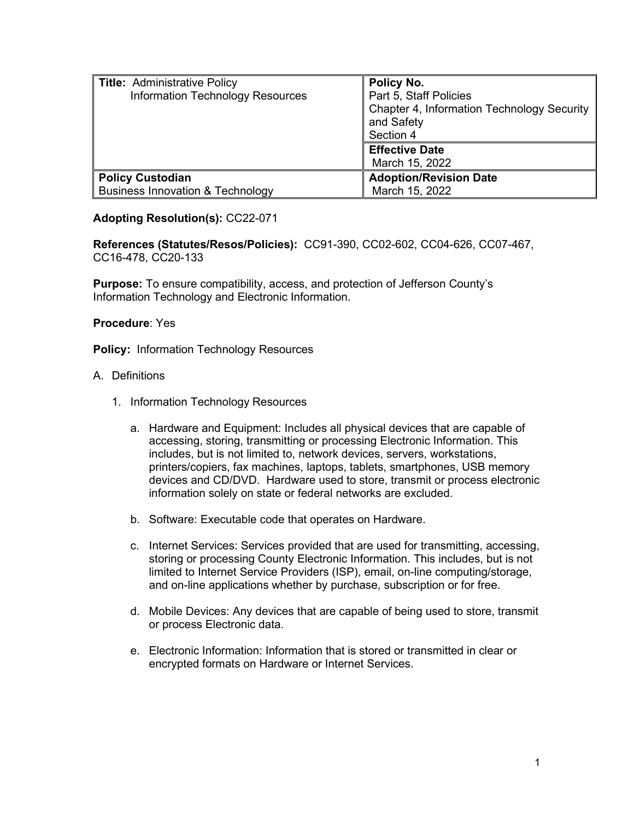| <b>Title: Administrative Policy</b><br>Information Technology Resources | Policy No.<br>Part 5, Staff Policies<br>Chapter 4, Information Technology Security<br>and Safety<br>Section 4<br><b>Effective Date</b><br>March 15, 2022 |
|-------------------------------------------------------------------------|----------------------------------------------------------------------------------------------------------------------------------------------------------|
| <b>Policy Custodian</b>                                                 | <b>Adoption/Revision Date</b>                                                                                                                            |
| <b>Business Innovation &amp; Technology</b>                             | March 15, 2022                                                                                                                                           |

## **Adopting Resolution(s):** CC22-071

**References (Statutes/Resos/Policies):** CC91-390, CC02-602, CC04-626, CC07-467, CC16-478, CC20-133

**Purpose:** To ensure compatibility, access, and protection of Jefferson County's Information Technology and Electronic Information.

## **Procedure**: Yes

**Policy:** Information Technology Resources

## A. Definitions

- 1. Information Technology Resources
	- a. Hardware and Equipment: Includes all physical devices that are capable of accessing, storing, transmitting or processing Electronic Information. This includes, but is not limited to, network devices, servers, workstations, printers/copiers, fax machines, laptops, tablets, smartphones, USB memory devices and CD/DVD. Hardware used to store, transmit or process electronic information solely on state or federal networks are excluded.
	- b. Software: Executable code that operates on Hardware.
	- c. Internet Services: Services provided that are used for transmitting, accessing, storing or processing County Electronic Information. This includes, but is not limited to Internet Service Providers (ISP), email, on-line computing/storage, and on-line applications whether by purchase, subscription or for free.
	- d. Mobile Devices: Any devices that are capable of being used to store, transmit or process Electronic data.
	- e. Electronic Information: Information that is stored or transmitted in clear or encrypted formats on Hardware or Internet Services.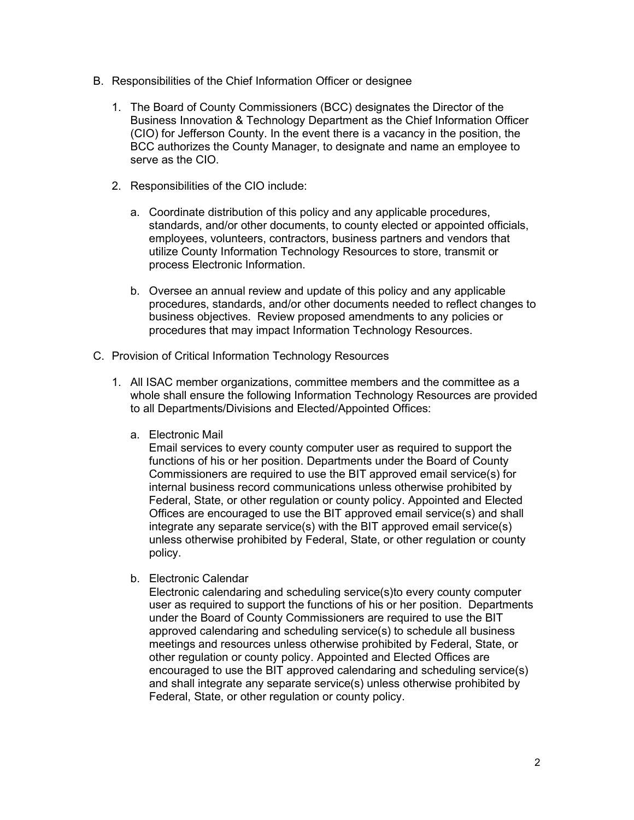- B. Responsibilities of the Chief Information Officer or designee
	- 1. The Board of County Commissioners (BCC) designates the Director of the Business Innovation & Technology Department as the Chief Information Officer (CIO) for Jefferson County. In the event there is a vacancy in the position, the BCC authorizes the County Manager, to designate and name an employee to serve as the CIO.
	- 2. Responsibilities of the CIO include:
		- a. Coordinate distribution of this policy and any applicable procedures, standards, and/or other documents, to county elected or appointed officials, employees, volunteers, contractors, business partners and vendors that utilize County Information Technology Resources to store, transmit or process Electronic Information.
		- b. Oversee an annual review and update of this policy and any applicable procedures, standards, and/or other documents needed to reflect changes to business objectives. Review proposed amendments to any policies or procedures that may impact Information Technology Resources.
- C. Provision of Critical Information Technology Resources
	- 1. All ISAC member organizations, committee members and the committee as a whole shall ensure the following Information Technology Resources are provided to all Departments/Divisions and Elected/Appointed Offices:
		- a. Electronic Mail

Email services to every county computer user as required to support the functions of his or her position. Departments under the Board of County Commissioners are required to use the BIT approved email service(s) for internal business record communications unless otherwise prohibited by Federal, State, or other regulation or county policy. Appointed and Elected Offices are encouraged to use the BIT approved email service(s) and shall integrate any separate service(s) with the BIT approved email service(s) unless otherwise prohibited by Federal, State, or other regulation or county policy.

b. Electronic Calendar

Electronic calendaring and scheduling service(s)to every county computer user as required to support the functions of his or her position. Departments under the Board of County Commissioners are required to use the BIT approved calendaring and scheduling service(s) to schedule all business meetings and resources unless otherwise prohibited by Federal, State, or other regulation or county policy. Appointed and Elected Offices are encouraged to use the BIT approved calendaring and scheduling service(s) and shall integrate any separate service(s) unless otherwise prohibited by Federal, State, or other regulation or county policy.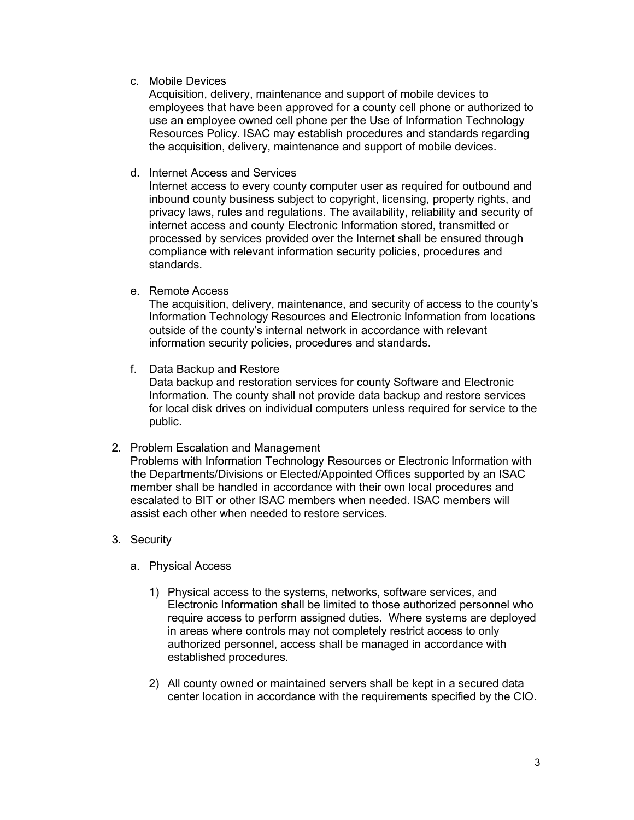c. Mobile Devices

Acquisition, delivery, maintenance and support of mobile devices to employees that have been approved for a county cell phone or authorized to use an employee owned cell phone per the Use of Information Technology Resources Policy. ISAC may establish procedures and standards regarding the acquisition, delivery, maintenance and support of mobile devices.

d. Internet Access and Services

Internet access to every county computer user as required for outbound and inbound county business subject to copyright, licensing, property rights, and privacy laws, rules and regulations. The availability, reliability and security of internet access and county Electronic Information stored, transmitted or processed by services provided over the Internet shall be ensured through compliance with relevant information security policies, procedures and standards.

e. Remote Access

The acquisition, delivery, maintenance, and security of access to the county's Information Technology Resources and Electronic Information from locations outside of the county's internal network in accordance with relevant information security policies, procedures and standards.

f. Data Backup and Restore

Data backup and restoration services for county Software and Electronic Information. The county shall not provide data backup and restore services for local disk drives on individual computers unless required for service to the public.

2. Problem Escalation and Management

Problems with Information Technology Resources or Electronic Information with the Departments/Divisions or Elected/Appointed Offices supported by an ISAC member shall be handled in accordance with their own local procedures and escalated to BIT or other ISAC members when needed. ISAC members will assist each other when needed to restore services.

- 3. Security
	- a. Physical Access
		- 1) Physical access to the systems, networks, software services, and Electronic Information shall be limited to those authorized personnel who require access to perform assigned duties. Where systems are deployed in areas where controls may not completely restrict access to only authorized personnel, access shall be managed in accordance with established procedures.
		- 2) All county owned or maintained servers shall be kept in a secured data center location in accordance with the requirements specified by the CIO.